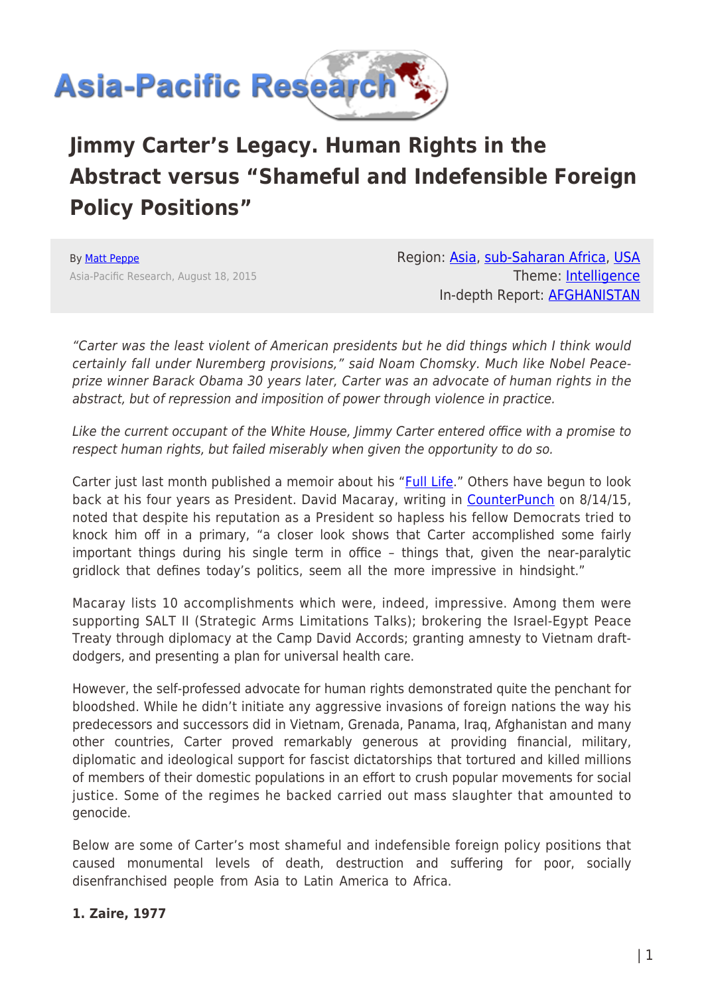

# **Jimmy Carter's Legacy. Human Rights in the Abstract versus "Shameful and Indefensible Foreign Policy Positions"**

By [Matt Peppe](https://www.asia-pacificresearch.com/author/matt-peppe) Asia-Pacific Research, August 18, 2015 Region: [Asia](https://www.asia-pacificresearch.com/region/asia-as), [sub-Saharan Africa,](https://www.asia-pacificresearch.com/region/sub-saharan-africa-as) [USA](https://www.asia-pacificresearch.com/region/usa-as) Theme: [Intelligence](https://www.asia-pacificresearch.com/theme/intelligence-as) In-depth Report: [AFGHANISTAN](https://www.asia-pacificresearch.com/indepthreport/afghanistan-as)

"Carter was the least violent of American presidents but he did things which I think would certainly fall under Nuremberg provisions," said Noam Chomsky. Much like Nobel Peaceprize winner Barack Obama 30 years later, Carter was an advocate of human rights in the abstract, but of repression and imposition of power through violence in practice.

Like the current occupant of the White House, Jimmy Carter entered office with a promise to respect human rights, but failed miserably when given the opportunity to do so.

Carter just last month published a memoir about his "[Full Life](http://books.simonandschuster.com/A-Full-Life/Jimmy-Carter/9781501115639)." Others have begun to look back at his four years as President. David Macaray, writing in [CounterPunch](http://www.counterpunch.org/2015/08/14/a-look-back-at-jimmy-carters-presidency/) on 8/14/15, noted that despite his reputation as a President so hapless his fellow Democrats tried to knock him off in a primary, "a closer look shows that Carter accomplished some fairly important things during his single term in office – things that, given the near-paralytic gridlock that defines today's politics, seem all the more impressive in hindsight."

Macaray lists 10 accomplishments which were, indeed, impressive. Among them were supporting SALT II (Strategic Arms Limitations Talks); brokering the Israel-Egypt Peace Treaty through diplomacy at the Camp David Accords; granting amnesty to Vietnam draftdodgers, and presenting a plan for universal health care.

However, the self-professed advocate for human rights demonstrated quite the penchant for bloodshed. While he didn't initiate any aggressive invasions of foreign nations the way his predecessors and successors did in Vietnam, Grenada, Panama, Iraq, Afghanistan and many other countries, Carter proved remarkably generous at providing financial, military, diplomatic and ideological support for fascist dictatorships that tortured and killed millions of members of their domestic populations in an effort to crush popular movements for social justice. Some of the regimes he backed carried out mass slaughter that amounted to genocide.

Below are some of Carter's most shameful and indefensible foreign policy positions that caused monumental levels of death, destruction and suffering for poor, socially disenfranchised people from Asia to Latin America to Africa.

#### **1. Zaire, 1977**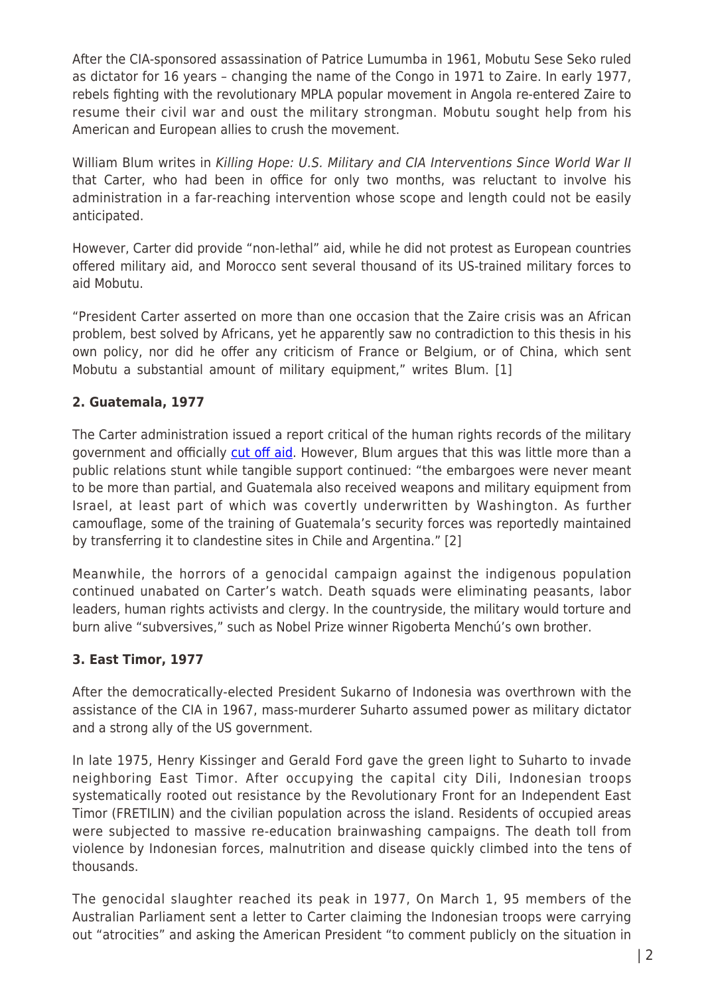After the CIA-sponsored assassination of Patrice Lumumba in 1961, Mobutu Sese Seko ruled as dictator for 16 years – changing the name of the Congo in 1971 to Zaire. In early 1977, rebels fighting with the revolutionary MPLA popular movement in Angola re-entered Zaire to resume their civil war and oust the military strongman. Mobutu sought help from his American and European allies to crush the movement.

William Blum writes in Killing Hope: U.S. Military and CIA Interventions Since World War II that Carter, who had been in office for only two months, was reluctant to involve his administration in a far-reaching intervention whose scope and length could not be easily anticipated.

However, Carter did provide "non-lethal" aid, while he did not protest as European countries offered military aid, and Morocco sent several thousand of its US-trained military forces to aid Mobutu.

"President Carter asserted on more than one occasion that the Zaire crisis was an African problem, best solved by Africans, yet he apparently saw no contradiction to this thesis in his own policy, nor did he offer any criticism of France or Belgium, or of China, which sent Mobutu a substantial amount of military equipment," writes Blum. [1]

# **2. Guatemala, 1977**

The Carter administration issued a report critical of the human rights records of the military government and officially [cut off aid.](http://www.nytimes.com/1982/12/19/world/us-military-aid-for-guatemala-continuing-despite-official-curbs.html) However, Blum argues that this was little more than a public relations stunt while tangible support continued: "the embargoes were never meant to be more than partial, and Guatemala also received weapons and military equipment from Israel, at least part of which was covertly underwritten by Washington. As further camouflage, some of the training of Guatemala's security forces was reportedly maintained by transferring it to clandestine sites in Chile and Argentina." [2]

Meanwhile, the horrors of a genocidal campaign against the indigenous population continued unabated on Carter's watch. Death squads were eliminating peasants, labor leaders, human rights activists and clergy. In the countryside, the military would torture and burn alive "subversives," such as Nobel Prize winner Rigoberta Menchú's own brother.

#### **3. East Timor, 1977**

After the democratically-elected President Sukarno of Indonesia was overthrown with the assistance of the CIA in 1967, mass-murderer Suharto assumed power as military dictator and a strong ally of the US government.

In late 1975, Henry Kissinger and Gerald Ford gave the green light to Suharto to invade neighboring East Timor. After occupying the capital city Dili, Indonesian troops systematically rooted out resistance by the Revolutionary Front for an Independent East Timor (FRETILIN) and the civilian population across the island. Residents of occupied areas were subjected to massive re-education brainwashing campaigns. The death toll from violence by Indonesian forces, malnutrition and disease quickly climbed into the tens of thousands.

The genocidal slaughter reached its peak in 1977, On March 1, 95 members of the Australian Parliament sent a letter to Carter claiming the Indonesian troops were carrying out "atrocities" and asking the American President "to comment publicly on the situation in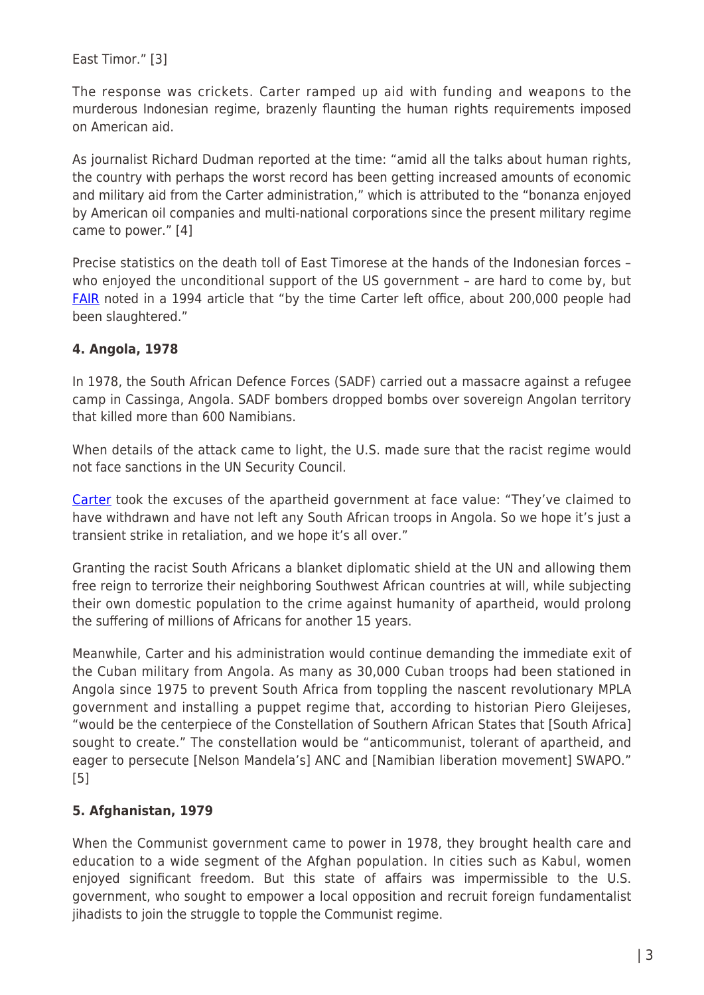East Timor." [3]

The response was crickets. Carter ramped up aid with funding and weapons to the murderous Indonesian regime, brazenly flaunting the human rights requirements imposed on American aid.

As journalist Richard Dudman reported at the time: "amid all the talks about human rights, the country with perhaps the worst record has been getting increased amounts of economic and military aid from the Carter administration," which is attributed to the "bonanza enjoyed by American oil companies and multi-national corporations since the present military regime came to power." [4]

Precise statistics on the death toll of East Timorese at the hands of the Indonesian forces – who enjoyed the unconditional support of the US government - are hard to come by, but [FAIR](http://fair.org/media-beat-column/jimmy-carter-and-human-rights-behind-the-media-myth/) noted in a 1994 article that "by the time Carter left office, about 200,000 people had been slaughtered."

## **4. Angola, 1978**

In 1978, the South African Defence Forces (SADF) carried out a massacre against a refugee camp in Cassinga, Angola. SADF bombers dropped bombs over sovereign Angolan territory that killed more than 600 Namibians.

When details of the attack came to light, the U.S. made sure that the racist regime would not face sanctions in the UN Security Council.

[Carter](http://www.presidency.ucsb.edu/ws/?pid=30754) took the excuses of the apartheid government at face value: "They've claimed to have withdrawn and have not left any South African troops in Angola. So we hope it's just a transient strike in retaliation, and we hope it's all over."

Granting the racist South Africans a blanket diplomatic shield at the UN and allowing them free reign to terrorize their neighboring Southwest African countries at will, while subjecting their own domestic population to the crime against humanity of apartheid, would prolong the suffering of millions of Africans for another 15 years.

Meanwhile, Carter and his administration would continue demanding the immediate exit of the Cuban military from Angola. As many as 30,000 Cuban troops had been stationed in Angola since 1975 to prevent South Africa from toppling the nascent revolutionary MPLA government and installing a puppet regime that, according to historian Piero Gleijeses, "would be the centerpiece of the Constellation of Southern African States that [South Africa] sought to create." The constellation would be "anticommunist, tolerant of apartheid, and eager to persecute [Nelson Mandela's] ANC and [Namibian liberation movement] SWAPO." [5]

# **5. Afghanistan, 1979**

When the Communist government came to power in 1978, they brought health care and education to a wide segment of the Afghan population. In cities such as Kabul, women enjoyed significant freedom. But this state of affairs was impermissible to the U.S. government, who sought to empower a local opposition and recruit foreign fundamentalist jihadists to join the struggle to topple the Communist regime.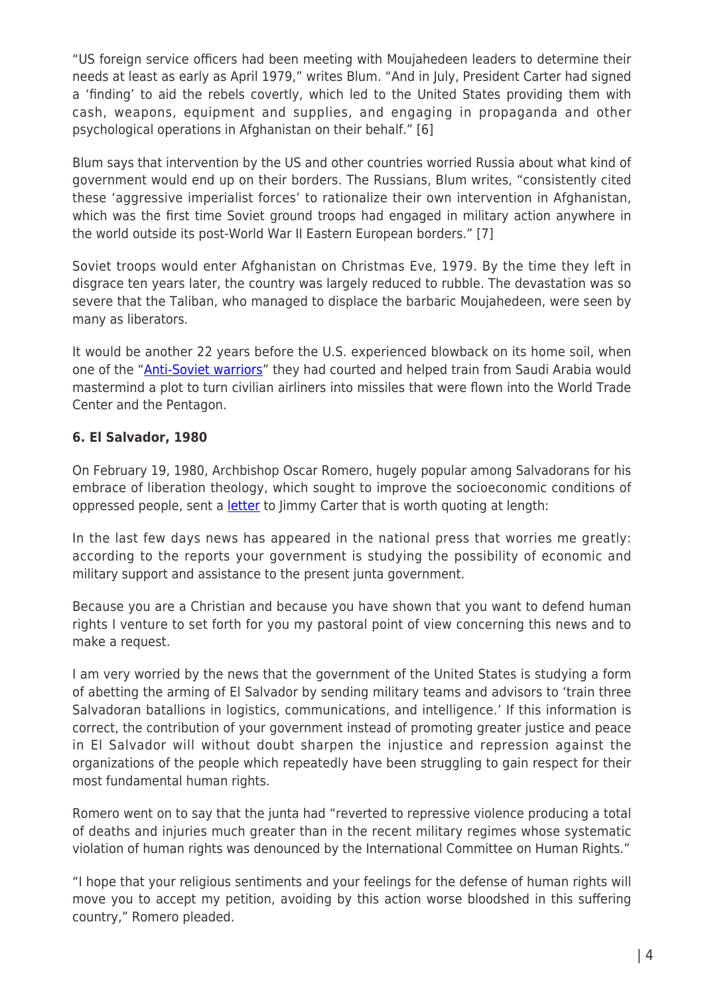"US foreign service officers had been meeting with Moujahedeen leaders to determine their needs at least as early as April 1979," writes Blum. "And in July, President Carter had signed a 'finding' to aid the rebels covertly, which led to the United States providing them with cash, weapons, equipment and supplies, and engaging in propaganda and other psychological operations in Afghanistan on their behalf." [6]

Blum says that intervention by the US and other countries worried Russia about what kind of government would end up on their borders. The Russians, Blum writes, "consistently cited these 'aggressive imperialist forces' to rationalize their own intervention in Afghanistan, which was the first time Soviet ground troops had engaged in military action anywhere in the world outside its post-World War II Eastern European borders." [7]

Soviet troops would enter Afghanistan on Christmas Eve, 1979. By the time they left in disgrace ten years later, the country was largely reduced to rubble. The devastation was so severe that the Taliban, who managed to displace the barbaric Moujahedeen, were seen by many as liberators.

It would be another 22 years before the U.S. experienced blowback on its home soil, when one of the "[Anti-Soviet warriors](http://rebrn.com/re/osama-bin-laden-516225/)" they had courted and helped train from Saudi Arabia would mastermind a plot to turn civilian airliners into missiles that were flown into the World Trade Center and the Pentagon.

# **6. El Salvador, 1980**

On February 19, 1980, Archbishop Oscar Romero, hugely popular among Salvadorans for his embrace of liberation theology, which sought to improve the socioeconomic conditions of oppressed people, sent a [letter](http://nsarchive.gwu.edu/NSAEBB/NSAEBB339/doc04.pdf) to Jimmy Carter that is worth quoting at length:

In the last few days news has appeared in the national press that worries me greatly: according to the reports your government is studying the possibility of economic and military support and assistance to the present junta government.

Because you are a Christian and because you have shown that you want to defend human rights I venture to set forth for you my pastoral point of view concerning this news and to make a request.

I am very worried by the news that the government of the United States is studying a form of abetting the arming of El Salvador by sending military teams and advisors to 'train three Salvadoran batallions in logistics, communications, and intelligence.' If this information is correct, the contribution of your government instead of promoting greater justice and peace in El Salvador will without doubt sharpen the injustice and repression against the organizations of the people which repeatedly have been struggling to gain respect for their most fundamental human rights.

Romero went on to say that the junta had "reverted to repressive violence producing a total of deaths and injuries much greater than in the recent military regimes whose systematic violation of human rights was denounced by the International Committee on Human Rights."

"I hope that your religious sentiments and your feelings for the defense of human rights will move you to accept my petition, avoiding by this action worse bloodshed in this suffering country," Romero pleaded.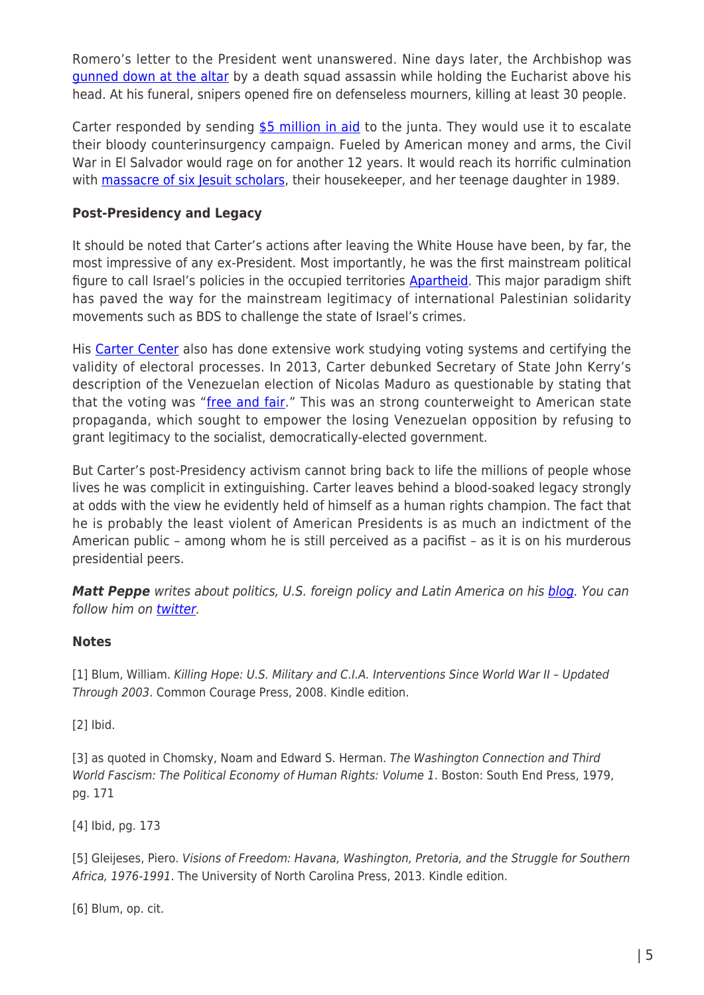Romero's letter to the President went unanswered. Nine days later, the Archbishop was [gunned down at the altar](http://internacional.elpais.com/internacional/2009/11/07/actualidad/1257548408_850215.html) by a death squad assassin while holding the Eucharist above his head. At his funeral, snipers opened fire on defenseless mourners, killing at least 30 people.

Carter responded by sending  $$5$  million in aid to the junta. They would use it to escalate their bloody counterinsurgency campaign. Fueled by American money and arms, the Civil War in El Salvador would rage on for another 12 years. It would reach its horrific culmination with **[massacre of six Jesuit scholars](http://www.mintpressnews.com/six-jesuit-scholars-american-war-self-determination/198932/)**, their housekeeper, and her teenage daughter in 1989.

#### **Post-Presidency and Legacy**

It should be noted that Carter's actions after leaving the White House have been, by far, the most impressive of any ex-President. Most importantly, he was the first mainstream political figure to call Israel's policies in the occupied territories [Apartheid](http://www.amazon.com/Palestine-Peace-Apartheid-Jimmy-Carter/dp/0743285034). This major paradigm shift has paved the way for the mainstream legitimacy of international Palestinian solidarity movements such as BDS to challenge the state of Israel's crimes.

His [Carter Center](http://www.cartercenter.org/news/pr/venezuela-052214.html) also has done extensive work studying voting systems and certifying the validity of electoral processes. In 2013, Carter debunked Secretary of State John Kerry's description of the Venezuelan election of Nicolas Maduro as questionable by stating that that the voting was "[free and fair](https://www.commentarymagazine.com/2013/06/20/jimmy-carter-gives-seal-of-approval-to-venezuela-election/)." This was an strong counterweight to American state propaganda, which sought to empower the losing Venezuelan opposition by refusing to grant legitimacy to the socialist, democratically-elected government.

But Carter's post-Presidency activism cannot bring back to life the millions of people whose lives he was complicit in extinguishing. Carter leaves behind a blood-soaked legacy strongly at odds with the view he evidently held of himself as a human rights champion. The fact that he is probably the least violent of American Presidents is as much an indictment of the American public – among whom he is still perceived as a pacifist – as it is on his murderous presidential peers.

**Matt Peppe** writes about politics, U.S. foreign policy and Latin America on his **blog**. You can follow him on [twitter.](https://twitter.com/PeppeMatt)

#### **Notes**

[1] Blum, William. Killing Hope: U.S. Military and C.I.A. Interventions Since World War II – Updated Through 2003. Common Courage Press, 2008. Kindle edition.

[2] Ibid.

[3] as quoted in Chomsky, Noam and Edward S. Herman. The Washington Connection and Third World Fascism: The Political Economy of Human Rights: Volume 1. Boston: South End Press, 1979, pg. 171

[4] Ibid, pg. 173

[5] Gleijeses, Piero. Visions of Freedom: Havana, Washington, Pretoria, and the Struggle for Southern Africa, 1976-1991. The University of North Carolina Press, 2013. Kindle edition.

[6] Blum, op. cit.